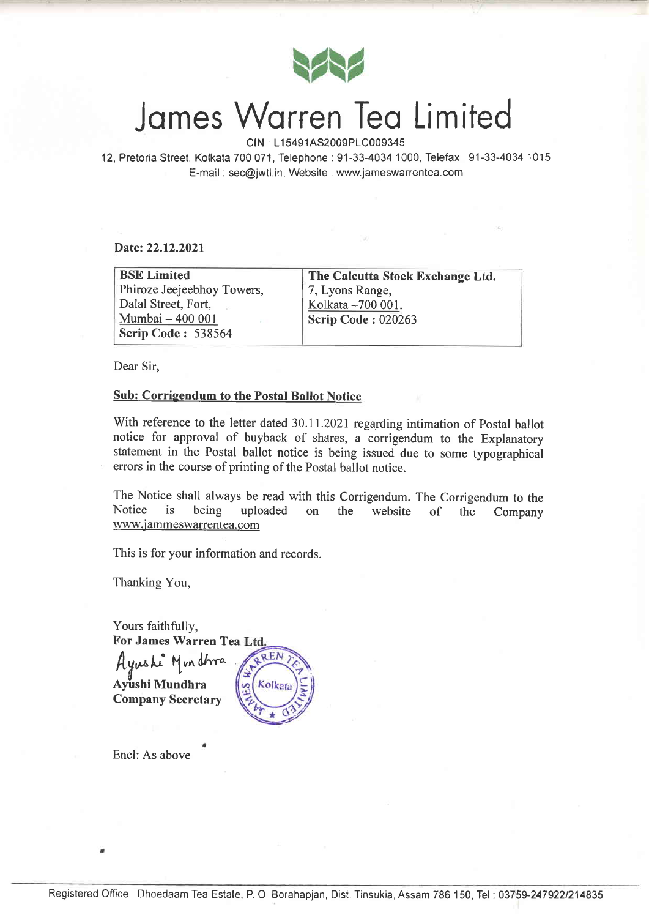

# James Warren Tea Limited

CIN : L15491AS2009PLC009345

12,Pretoria Street, Kolkata 700071, Telephone:91-33-4034'1000, Telefax:91-33-4034 1015 E-mail : sec@jwtl.in, Website : www.jameswarrentea.com

Date: 22.12.2021

| <b>BSE Limited</b>         | The Calcutta Stock Exchange Ltd. |  |
|----------------------------|----------------------------------|--|
| Phiroze Jeejeebhoy Towers, | 7, Lyons Range,                  |  |
| Dalal Street, Fort,        | Kolkata - 700 001.               |  |
| Mumbai - 400 001           | Scrip Code: 020263               |  |
| <b>Scrip Code: 538564</b>  |                                  |  |

Dear Sir,

## Sub: Corrigendum to the Postal Ballot Notice

With reference to the letter dated 30.11.2021 regarding intimation of Postal ballot notice for approval of buyback of shares, a corrigendum to the Explanatory statement in the Postal ballot notice is being issued due to some typographical errors in the course of printing of the Postal ballot notice.

The Notice shall always be read with this Corrigendum. The Corrigendum to the Notice is being uploaded on the website of the Company www.jammeswarrentea.com

This is for your information and records.

Thanking You,

Yours faithfully, For James Warren Tea  $REN$ Hyushe Mondbrea Ayushi Mundhra Kolkat Company Secretary

Encl: As above